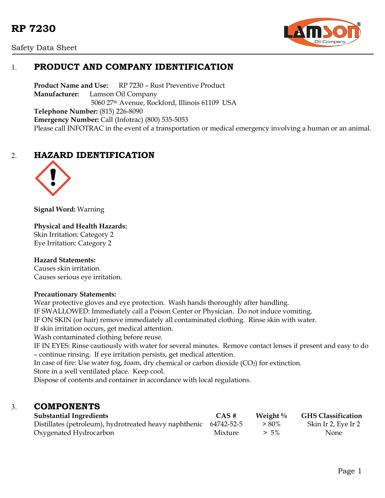



# 1. **PRODUCT AND COMPANY IDENTIFICATION**

**Product Name and Use:** RP 7230 – Rust Preventive Product **Manufacturer:** Lamson Oil Company 5060 27th Avenue, Rockford, Illinois 61109 USA **Telephone Number:** (815) 226-8090 **Emergency Number:** Call (Infotrac) (800) 535-5053 Please call INFOTRAC in the event of a transportation or medical emergency involving a human or an animal.

# 2. **HAZARD IDENTIFICATION**



**Signal Word:** Warning

**Physical and Health Hazards:** Skin Irritation: Category 2 Eye Irritation: Category 2

#### **Hazard Statements:**

Causes skin irritation. Causes serious eye irritation.

#### **Precautionary Statements:**

Wear protective gloves and eye protection. Wash hands thoroughly after handling. IF SWALLOWED: Immediately call a Poison Center or Physician. Do not induce vomiting. IF ON SKIN (or hair) remove immediately all contaminated clothing. Rinse skin with water. If skin irritation occurs, get medical attention. Wash contaminated clothing before reuse. IF IN EYES: Rinse cautiously with water for several minutes. Remove contact lenses if present and easy to do – continue rinsing. If eye irritation persists, get medical attention. In case of fire: Use water fog, foam, dry chemical or carbon dioxide  $(CO<sub>2</sub>)$  for extinction. Store in a well ventilated place. Keep cool.

Dispose of contents and container in accordance with local regulations.

### 3. **COMPONENTS**

| <b>Substantial Ingredients</b>                                    | CAS#    | Weight $\%$ | <b>GHS Classification</b> |
|-------------------------------------------------------------------|---------|-------------|---------------------------|
| Distillates (petroleum), hydrotreated heavy naphthenic 64742-52-5 |         | $> 80\%$    | Skin Ir 2, Eye Ir 2       |
| Oxygenated Hydrocarbon                                            | Mixture | $> 5\%$     | <b>None</b>               |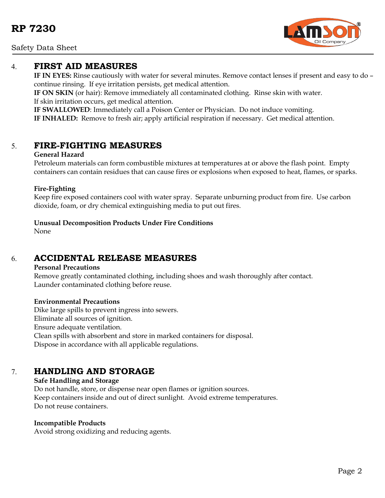

### 4. **FIRST AID MEASURES**

**IF IN EYES:** Rinse cautiously with water for several minutes. Remove contact lenses if present and easy to do – continue rinsing. If eye irritation persists, get medical attention.

**IF ON SKIN** (or hair): Remove immediately all contaminated clothing. Rinse skin with water. If skin irritation occurs, get medical attention.

**IF SWALLOWED**: Immediately call a Poison Center or Physician. Do not induce vomiting. **IF INHALED:** Remove to fresh air; apply artificial respiration if necessary. Get medical attention.

### 5. **FIRE-FIGHTING MEASURES**

#### **General Hazard**

Petroleum materials can form combustible mixtures at temperatures at or above the flash point. Empty containers can contain residues that can cause fires or explosions when exposed to heat, flames, or sparks.

#### **Fire-Fighting**

Keep fire exposed containers cool with water spray. Separate unburning product from fire. Use carbon dioxide, foam, or dry chemical extinguishing media to put out fires.

**Unusual Decomposition Products Under Fire Conditions**

None

## 6. **ACCIDENTAL RELEASE MEASURES**

#### **Personal Precautions**

Remove greatly contaminated clothing, including shoes and wash thoroughly after contact. Launder contaminated clothing before reuse.

#### **Environmental Precautions**

Dike large spills to prevent ingress into sewers. Eliminate all sources of ignition. Ensure adequate ventilation. Clean spills with absorbent and store in marked containers for disposal. Dispose in accordance with all applicable regulations.

# 7. **HANDLING AND STORAGE**

#### **Safe Handling and Storage** Do not handle, store, or dispense near open flames or ignition sources. Keep containers inside and out of direct sunlight. Avoid extreme temperatures. Do not reuse containers.

#### **Incompatible Products**

Avoid strong oxidizing and reducing agents.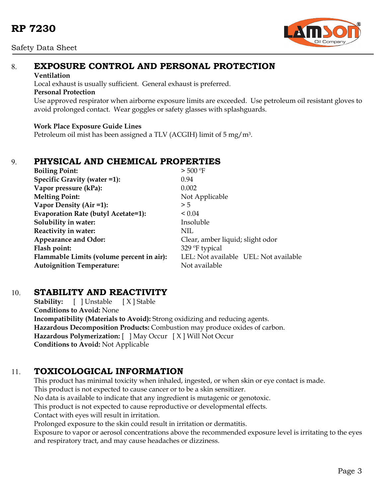

# 8. **EXPOSURE CONTROL AND PERSONAL PROTECTION**

#### **Ventilation**

Local exhaust is usually sufficient. General exhaust is preferred.

### **Personal Protection**

Use approved respirator when airborne exposure limits are exceeded. Use petroleum oil resistant gloves to avoid prolonged contact. Wear goggles or safety glasses with splashguards.

### **Work Place Exposure Guide Lines**

Petroleum oil mist has been assigned a TLV (ACGIH) limit of 5 mg/m3.

# 9. **PHYSICAL AND CHEMICAL PROPERTIES**

| <b>Boiling Point:</b>                     | $>$ 500 °F                            |  |  |
|-------------------------------------------|---------------------------------------|--|--|
| Specific Gravity (water =1):              | 0.94                                  |  |  |
| Vapor pressure (kPa):                     | 0.002                                 |  |  |
| <b>Melting Point:</b>                     | Not Applicable                        |  |  |
| Vapor Density (Air =1):                   | > 5                                   |  |  |
| Evaporation Rate (butyl Acetate=1):       | ${}_{0.04}$                           |  |  |
| Solubility in water:                      | Insoluble                             |  |  |
| Reactivity in water:                      | NIL                                   |  |  |
| Appearance and Odor:                      | Clear, amber liquid; slight odor      |  |  |
| Flash point:                              | 329 <sup>o</sup> F typical            |  |  |
| Flammable Limits (volume percent in air): | LEL: Not available UEL: Not available |  |  |
| <b>Autoignition Temperature:</b>          | Not available                         |  |  |

## 10. **STABILITY AND REACTIVITY**

**Stability:** [ ] Unstable [X] Stable **Conditions to Avoid:** None **Incompatibility (Materials to Avoid):** Strong oxidizing and reducing agents. **Hazardous Decomposition Products:** Combustion may produce oxides of carbon. **Hazardous Polymerization:** [ ] May Occur [ X ] Will Not Occur **Conditions to Avoid:** Not Applicable

# 11. **TOXICOLOGICAL INFORMATION**

This product has minimal toxicity when inhaled, ingested, or when skin or eye contact is made. This product is not expected to cause cancer or to be a skin sensitizer. No data is available to indicate that any ingredient is mutagenic or genotoxic. This product is not expected to cause reproductive or developmental effects. Contact with eyes will result in irritation. Prolonged exposure to the skin could result in irritation or dermatitis. Exposure to vapor or aerosol concentrations above the recommended exposure level is irritating to the eyes and respiratory tract, and may cause headaches or dizziness.